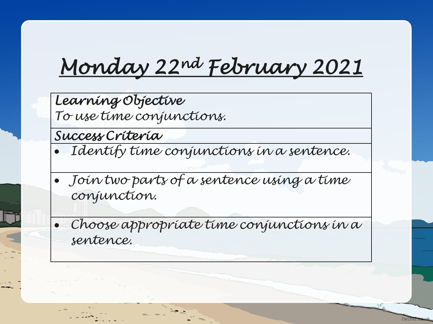# *Monday 22nd February 2021*

*Learning Objective To use time conjunctions.* 

*Success Criteria* 

- *Identify time conjunctions in a sentence.*
- *Join two parts of a sentence using a time conjunction.*
- *Choose appropriate time conjunctions in a sentence.*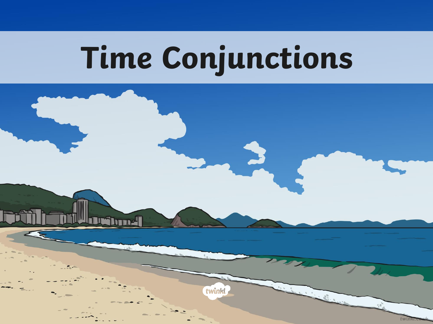# **Time Conjunctions**

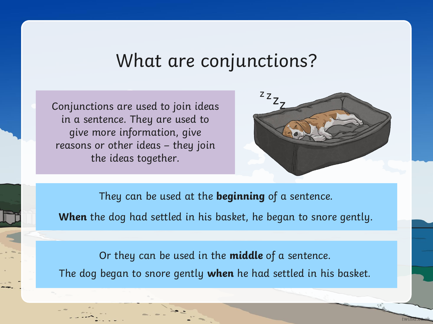#### What are conjunctions?

Conjunctions are used to join ideas in a sentence. They are used to give more information, give reasons or other ideas – they join the ideas together.



They can be used at the **beginning** of a sentence. **When** the dog had settled in his basket, he began to snore gently.

Or they can be used in the **middle** of a sentence. The dog began to snore gently **when** he had settled in his basket.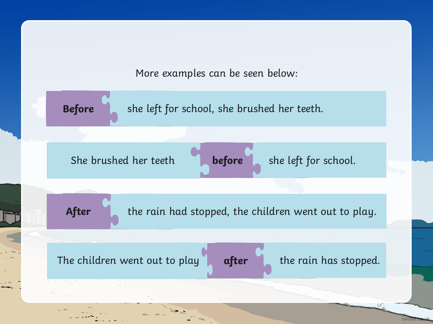More examples can be seen below:



She brushed her teeth **before**



she left for school.

After the rain had stopped, the children went out to play.

The children went out to play **after** the rain has stopped.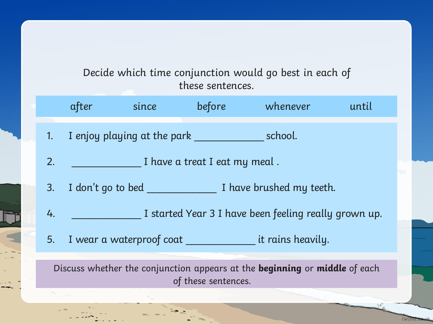| Decide which time conjunction would go best in each of<br>these sentences.                        |                                                       |       |                                                            |          |       |  |  |  |
|---------------------------------------------------------------------------------------------------|-------------------------------------------------------|-------|------------------------------------------------------------|----------|-------|--|--|--|
|                                                                                                   | after                                                 | since | before                                                     | whenever | until |  |  |  |
| 1.                                                                                                |                                                       |       | I enjoy playing at the park ______________________ school. |          |       |  |  |  |
| 2.                                                                                                | <sub>.</sub> I have a treat I eat my meal .           |       |                                                            |          |       |  |  |  |
| 3.                                                                                                |                                                       |       |                                                            |          |       |  |  |  |
| 4.                                                                                                | I started Year 3 I have been feeling really grown up. |       |                                                            |          |       |  |  |  |
| 5.                                                                                                |                                                       |       |                                                            |          |       |  |  |  |
|                                                                                                   |                                                       |       |                                                            |          |       |  |  |  |
| Discuss whether the conjunction appears at the beginning or middle of each<br>of these sentences. |                                                       |       |                                                            |          |       |  |  |  |
|                                                                                                   |                                                       |       |                                                            |          |       |  |  |  |

 $\gamma$  6

twinkt.com

**SA** 

 $\rightarrow$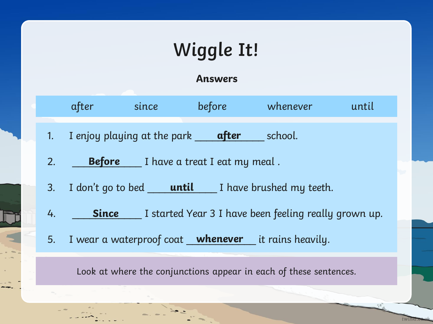## **Wiggle It!**

#### **Answers**

| after | since | before | whenever | until |
|-------|-------|--------|----------|-------|
|       |       |        |          |       |
|       |       |        |          |       |

1. I enjoy playing at the park **after** school.

- 2. Before I have a treat I eat my meal.
- 3. I don't go to bed **\_\_\_\_\_<u>until</u>\_\_\_\_\_** I have brushed my teeth.
- 4. \_\_\_\_\_\_\_\_\_\_\_\_ I started Year 3 I have been feeling really grown up. **Since**
- 5. I wear a waterproof coat **whenever** it rains heavily.

Look at where the conjunctions appear in each of these sentences.